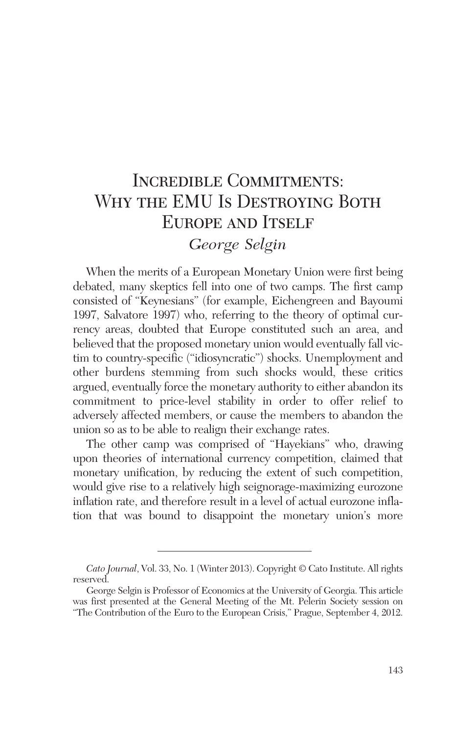# Incredible Commitments: WHY THE EMU IS DESTROYING BOTH EUROPE AND ITSELF *George Selgin*

When the merits of a European Monetary Union were first being debated, many skeptics fell into one of two camps. The first camp consisted of "Keynesians" (for example, Eichengreen and Bayoumi 1997, Salvatore 1997) who, referring to the theory of optimal currency areas, doubted that Europe constituted such an area, and believed that the proposed monetary union would eventually fall victim to country-specific ("idiosyncratic") shocks. Unemployment and other burdens stemming from such shocks would, these critics argued, eventually force the monetary authority to either abandon its commitment to price-level stability in order to offer relief to adversely affected members, or cause the members to abandon the union so as to be able to realign their exchange rates.

The other camp was comprised of "Hayekians" who, drawing upon theories of international currency competition, claimed that monetary unification, by reducing the extent of such competition, would give rise to a relatively high seignorage-maximizing eurozone inflation rate, and therefore result in a level of actual eurozone inflation that was bound to disappoint the monetary union's more

*Cato Journal*, Vol. 33, No. 1 (Winter 2013). Copyright © Cato Institute. All rights reserved.

George Selgin is Professor of Economics at the University of Georgia. This article was first presented at the General Meeting of the Mt. Pelerin Society session on "The Contribution of the Euro to the European Crisis," Prague, September 4, 2012.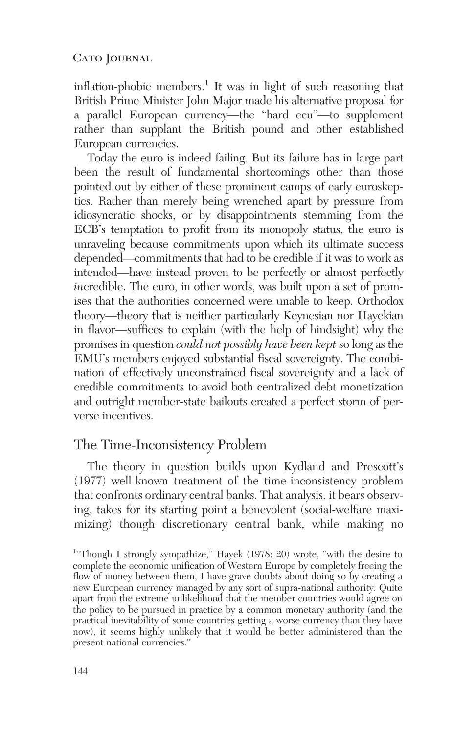inflation-phobic members.<sup>1</sup> It was in light of such reasoning that British Prime Minister John Major made his alternative proposal for a parallel European currency—the "hard ecu"—to supplement rather than supplant the British pound and other established European currencies.

Today the euro is indeed failing. But its failure has in large part been the result of fundamental shortcomings other than those pointed out by either of these prominent camps of early euroskeptics. Rather than merely being wrenched apart by pressure from idiosyncratic shocks, or by disappointments stemming from the ECB's temptation to profit from its monopoly status, the euro is unraveling because commitments upon which its ultimate success depended—commitments that had to be credible if it was to work as intended—have instead proven to be perfectly or almost perfectly *incredible.* The euro, in other words, was built upon a set of promises that the authorities concerned were unable to keep. Orthodox theory—theory that is neither particularly Keynesian nor Hayekian in flavor—suffices to explain (with the help of hindsight) why the promises in question *could not possibly have been kept* so long as the EMU's members enjoyed substantial fiscal sovereignty. The combination of effectively unconstrained fiscal sovereignty and a lack of credible commitments to avoid both centralized debt monetization and outright member-state bailouts created a perfect storm of perverse incentives.

# The Time-Inconsistency Problem

The theory in question builds upon Kydland and Prescott's (1977) well-known treatment of the time-inconsistency problem that confronts ordinary central banks. That analysis, it bears observing, takes for its starting point a benevolent (social-welfare maximizing) though discretionary central bank, while making no

<sup>&</sup>lt;sup>1</sup>"Though I strongly sympathize," Hayek (1978: 20) wrote, "with the desire to complete the economic unification of Western Europe by completely freeing the flow of money between them, I have grave doubts about doing so by creating a new European currency managed by any sort of supra-national authority. Quite apart from the extreme unlikelihood that the member countries would agree on the policy to be pursued in practice by a common monetary authority (and the practical inevitability of some countries getting a worse currency than they have now), it seems highly unlikely that it would be better administered than the present national currencies."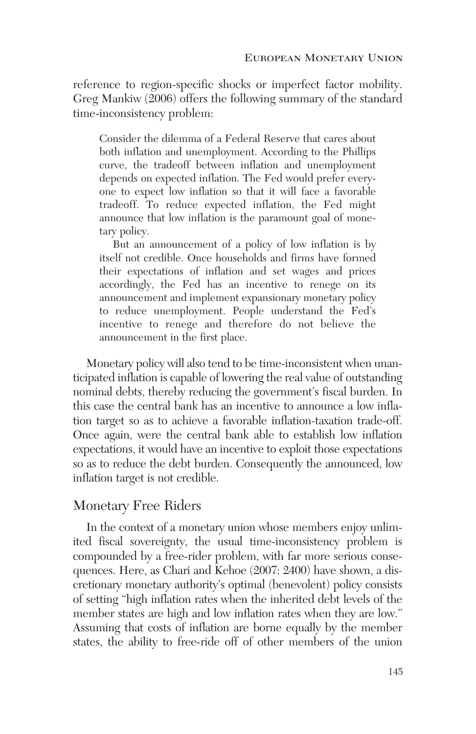reference to region-specific shocks or imperfect factor mobility. Greg Mankiw (2006) offers the following summary of the standard time-inconsistency problem:

Consider the dilemma of a Federal Reserve that cares about both inflation and unemployment. According to the Phillips curve, the tradeoff between inflation and unemployment depends on expected inflation. The Fed would prefer everyone to expect low inflation so that it will face a favorable tradeoff. To reduce expected inflation, the Fed might announce that low inflation is the paramount goal of monetary policy.

But an announcement of a policy of low inflation is by itself not credible. Once households and firms have formed their expectations of inflation and set wages and prices accordingly, the Fed has an incentive to renege on its announcement and implement expansionary monetary policy to reduce unemployment. People understand the Fed's incentive to renege and therefore do not believe the announcement in the first place.

Monetary policy will also tend to be time-inconsistent when unanticipated inflation is capable of lowering the real value of outstanding nominal debts, thereby reducing the government's fiscal burden. In this case the central bank has an incentive to announce a low inflation target so as to achieve a favorable inflation-taxation trade-off. Once again, were the central bank able to establish low inflation expectations, it would have an incentive to exploit those expectations so as to reduce the debt burden. Consequently the announced, low inflation target is not credible.

# Monetary Free Riders

In the context of a monetary union whose members enjoy unlimited fiscal sovereignty, the usual time-inconsistency problem is compounded by a free-rider problem, with far more serious consequences. Here, as Chari and Kehoe (2007: 2400) have shown, a discretionary monetary authority's optimal (benevolent) policy consists of setting "high inflation rates when the inherited debt levels of the member states are high and low inflation rates when they are low." Assuming that costs of inflation are borne equally by the member states, the ability to free-ride off of other members of the union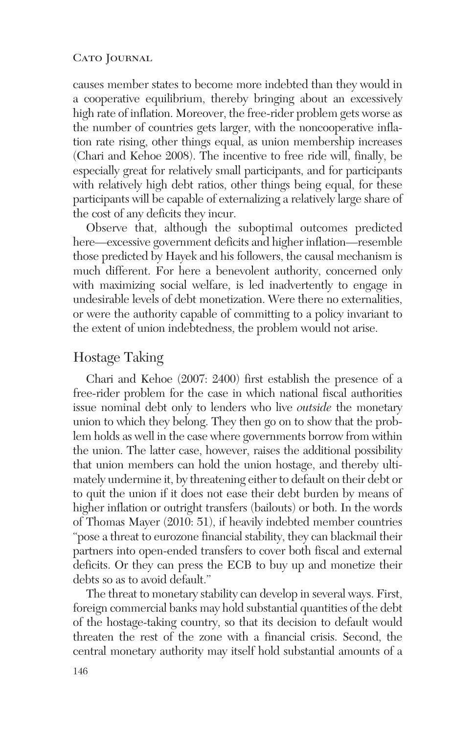#### CATO JOURNAL

causes member states to become more indebted than they would in a cooperative equilibrium, thereby bringing about an excessively high rate of inflation. Moreover, the free-rider problem gets worse as the number of countries gets larger, with the noncooperative inflation rate rising, other things equal, as union membership increases (Chari and Kehoe 2008). The incentive to free ride will, finally, be especially great for relatively small participants, and for participants with relatively high debt ratios, other things being equal, for these participants will be capable of externalizing a relatively large share of the cost of any deficits they incur.

Observe that, although the suboptimal outcomes predicted here—excessive government deficits and higher inflation—resemble those predicted by Hayek and his followers, the causal mechanism is much different. For here a benevolent authority, concerned only with maximizing social welfare, is led inadvertently to engage in undesirable levels of debt monetization. Were there no externalities, or were the authority capable of committing to a policy invariant to the extent of union indebtedness, the problem would not arise.

# Hostage Taking

Chari and Kehoe (2007: 2400) first establish the presence of a free-rider problem for the case in which national fiscal authorities issue nominal debt only to lenders who live *outside* the monetary union to which they belong. They then go on to show that the problem holds as well in the case where governments borrow from within the union. The latter case, however, raises the additional possibility that union members can hold the union hostage, and thereby ultimately undermine it, by threatening either to default on their debt or to quit the union if it does not ease their debt burden by means of higher inflation or outright transfers (bailouts) or both. In the words of Thomas Mayer (2010: 51), if heavily indebted member countries "pose a threat to eurozone financial stability, they can blackmail their partners into open-ended transfers to cover both fiscal and external deficits. Or they can press the ECB to buy up and monetize their debts so as to avoid default."

The threat to monetary stability can develop in several ways. First, foreign commercial banks may hold substantial quantities of the debt of the hostage-taking country, so that its decision to default would threaten the rest of the zone with a financial crisis. Second, the central monetary authority may itself hold substantial amounts of a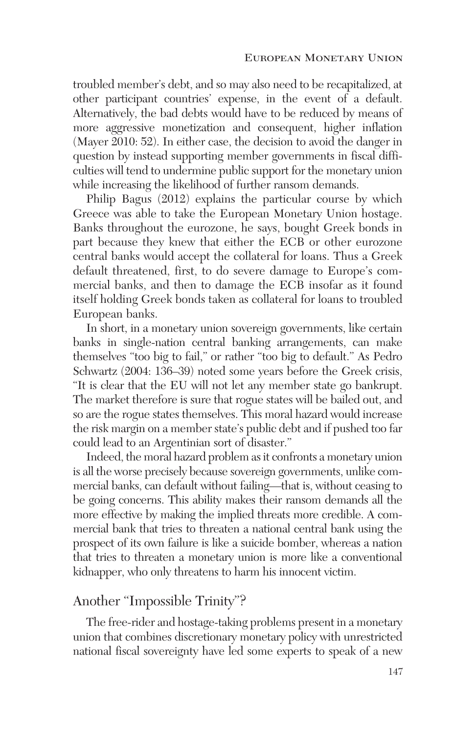troubled member's debt, and so may also need to be recapitalized, at other participant countries' expense, in the event of a default. Alternatively, the bad debts would have to be reduced by means of more aggressive monetization and consequent, higher inflation (Mayer 2010: 52). In either case, the decision to avoid the danger in question by instead supporting member governments in fiscal difficulties will tend to undermine public support for the monetary union while increasing the likelihood of further ransom demands.

Philip Bagus (2012) explains the particular course by which Greece was able to take the European Monetary Union hostage. Banks throughout the eurozone, he says, bought Greek bonds in part because they knew that either the ECB or other eurozone central banks would accept the collateral for loans. Thus a Greek default threatened, first, to do severe damage to Europe's commercial banks, and then to damage the ECB insofar as it found itself holding Greek bonds taken as collateral for loans to troubled European banks.

In short, in a monetary union sovereign governments, like certain banks in single-nation central banking arrangements, can make themselves "too big to fail," or rather "too big to default." As Pedro Schwartz (2004: 136–39) noted some years before the Greek crisis, "It is clear that the EU will not let any member state go bankrupt. The market therefore is sure that rogue states will be bailed out, and so are the rogue states themselves. This moral hazard would increase the risk margin on a member state's public debt and if pushed too far could lead to an Argentinian sort of disaster."

Indeed, the moral hazard problem as it confronts a monetary union is all the worse precisely because sovereign governments, unlike commercial banks, can default without failing—that is, without ceasing to be going concerns. This ability makes their ransom demands all the more effective by making the implied threats more credible. A commercial bank that tries to threaten a national central bank using the prospect of its own failure is like a suicide bomber, whereas a nation that tries to threaten a monetary union is more like a conventional kidnapper, who only threatens to harm his innocent victim.

### Another "Impossible Trinity"?

The free-rider and hostage-taking problems present in a monetary union that combines discretionary monetary policy with unrestricted national fiscal sovereignty have led some experts to speak of a new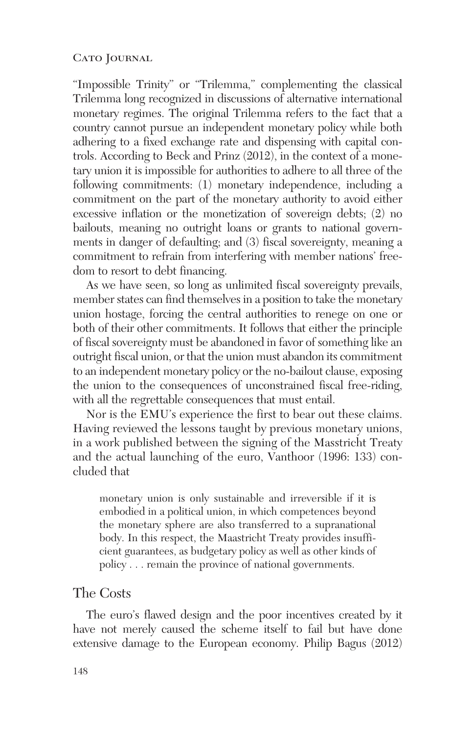#### CATO JOURNAL

"Impossible Trinity" or "Trilemma," complementing the classical Trilemma long recognized in discussions of alternative international monetary regimes. The original Trilemma refers to the fact that a country cannot pursue an independent monetary policy while both adhering to a fixed exchange rate and dispensing with capital controls. According to Beck and Prinz (2012), in the context of a monetary union it is impossible for authorities to adhere to all three of the following commitments: (1) monetary independence, including a commitment on the part of the monetary authority to avoid either excessive inflation or the monetization of sovereign debts; (2) no bailouts, meaning no outright loans or grants to national governments in danger of defaulting; and (3) fiscal sovereignty, meaning a commitment to refrain from interfering with member nations' freedom to resort to debt financing.

As we have seen, so long as unlimited fiscal sovereignty prevails, member states can find themselves in a position to take the monetary union hostage, forcing the central authorities to renege on one or both of their other commitments. It follows that either the principle of fiscal sovereignty must be abandoned in favor of something like an outright fiscal union, or that the union must abandon its commitment to an independent monetary policy or the no-bailout clause, exposing the union to the consequences of unconstrained fiscal free-riding, with all the regrettable consequences that must entail.

Nor is the EMU's experience the first to bear out these claims. Having reviewed the lessons taught by previous monetary unions, in a work published between the signing of the Masstricht Treaty and the actual launching of the euro, Vanthoor (1996: 133) concluded that

monetary union is only sustainable and irreversible if it is embodied in a political union, in which competences beyond the monetary sphere are also transferred to a supranational body. In this respect, the Maastricht Treaty provides insufficient guarantees, as budgetary policy as well as other kinds of policy . . . remain the province of national governments.

### The Costs

The euro's flawed design and the poor incentives created by it have not merely caused the scheme itself to fail but have done extensive damage to the European economy. Philip Bagus (2012)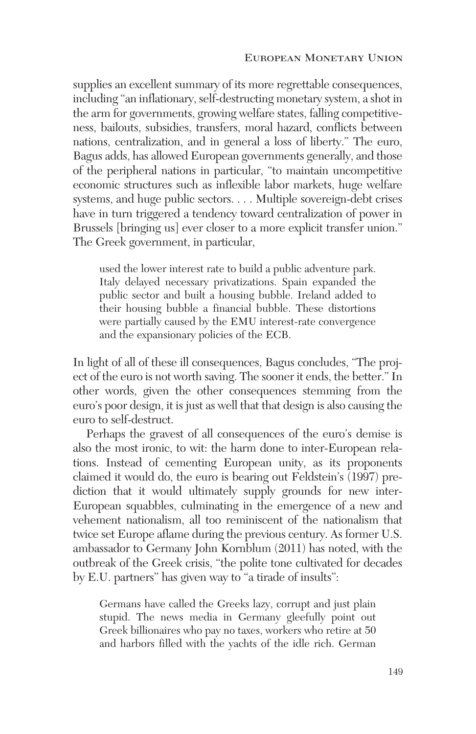supplies an excellent summary of its more regrettable consequences, including "an inflationary, self-destructing monetary system, a shot in the arm for governments, growing welfare states, falling competitiveness, bailouts, subsidies, transfers, moral hazard, conflicts between nations, centralization, and in general a loss of liberty." The euro, Bagus adds, has allowed European governments generally, and those of the peripheral nations in particular, "to maintain uncompetitive economic structures such as inflexible labor markets, huge welfare systems, and huge public sectors. . . . Multiple sovereign-debt crises have in turn triggered a tendency toward centralization of power in Brussels [bringing us] ever closer to a more explicit transfer union." The Greek government, in particular,

used the lower interest rate to build a public adventure park. Italy delayed necessary privatizations. Spain expanded the public sector and built a housing bubble. Ireland added to their housing bubble a financial bubble. These distortions were partially caused by the EMU interest-rate convergence and the expansionary policies of the ECB.

In light of all of these ill consequences, Bagus concludes, "The project of the euro is not worth saving. The sooner it ends, the better." In other words, given the other consequences stemming from the euro's poor design, it is just as well that that design is also causing the euro to self-destruct.

Perhaps the gravest of all consequences of the euro's demise is also the most ironic, to wit: the harm done to inter-European relations. Instead of cementing European unity, as its proponents claimed it would do, the euro is bearing out Feldstein's (1997) prediction that it would ultimately supply grounds for new inter-European squabbles, culminating in the emergence of a new and vehement nationalism, all too reminiscent of the nationalism that twice set Europe aflame during the previous century. As former U.S. ambassador to Germany John Kornblum (2011) has noted, with the outbreak of the Greek crisis, "the polite tone cultivated for decades by E.U. partners" has given way to "a tirade of insults":

Germans have called the Greeks lazy, corrupt and just plain stupid. The news media in Germany gleefully point out Greek billionaires who pay no taxes, workers who retire at 50 and harbors filled with the yachts of the idle rich. German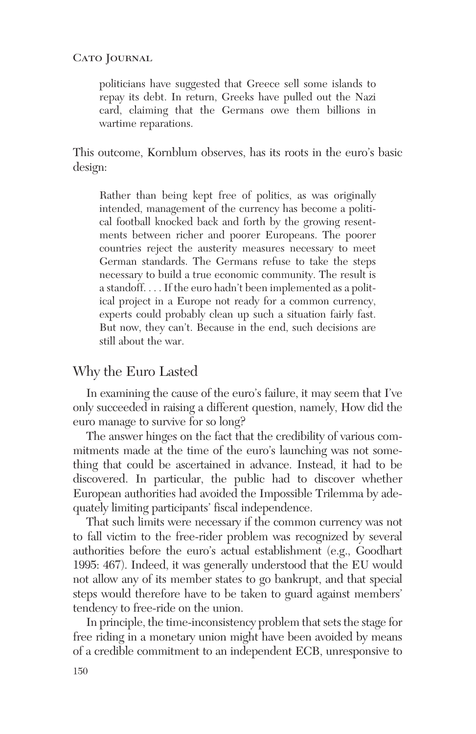CATO JOURNAL

politicians have suggested that Greece sell some islands to repay its debt. In return, Greeks have pulled out the Nazi card, claiming that the Germans owe them billions in wartime reparations.

This outcome, Kornblum observes, has its roots in the euro's basic design:

Rather than being kept free of politics, as was originally intended, management of the currency has become a political football knocked back and forth by the growing resentments between richer and poorer Europeans. The poorer countries reject the austerity measures necessary to meet German standards. The Germans refuse to take the steps necessary to build a true economic community. The result is a standoff. . . . If the euro hadn't been implemented as a political project in a Europe not ready for a common currency, experts could probably clean up such a situation fairly fast. But now, they can't. Because in the end, such decisions are still about the war.

### Why the Euro Lasted

In examining the cause of the euro's failure, it may seem that I've only succeeded in raising a different question, namely, How did the euro manage to survive for so long?

The answer hinges on the fact that the credibility of various commitments made at the time of the euro's launching was not something that could be ascertained in advance. Instead, it had to be discovered. In particular, the public had to discover whether European authorities had avoided the Impossible Trilemma by adequately limiting participants' fiscal independence.

That such limits were necessary if the common currency was not to fall victim to the free-rider problem was recognized by several authorities before the euro's actual establishment (e.g., Goodhart 1995: 467). Indeed, it was generally understood that the EU would not allow any of its member states to go bankrupt, and that special steps would therefore have to be taken to guard against members' tendency to free-ride on the union.

In principle, the time-inconsistency problem that sets the stage for free riding in a monetary union might have been avoided by means of a credible commitment to an independent ECB, unresponsive to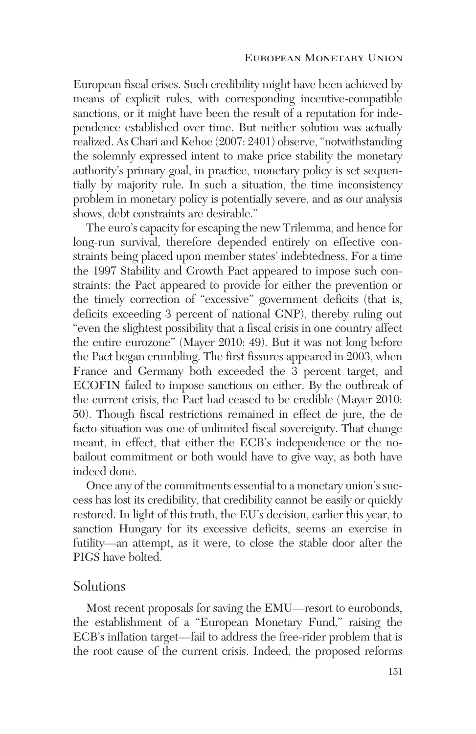European fiscal crises. Such credibility might have been achieved by means of explicit rules, with corresponding incentive-compatible sanctions, or it might have been the result of a reputation for independence established over time. But neither solution was actually realized. As Chari and Kehoe (2007: 2401) observe, "notwithstanding the solemnly expressed intent to make price stability the monetary authority's primary goal, in practice, monetary policy is set sequentially by majority rule. In such a situation, the time inconsistency problem in monetary policy is potentially severe, and as our analysis shows, debt constraints are desirable."

The euro's capacity for escaping the new Trilemma, and hence for long-run survival, therefore depended entirely on effective constraints being placed upon member states' indebtedness. For a time the 1997 Stability and Growth Pact appeared to impose such constraints: the Pact appeared to provide for either the prevention or the timely correction of "excessive" government deficits (that is, deficits exceeding 3 percent of national GNP), thereby ruling out "even the slightest possibility that a fiscal crisis in one country affect the entire eurozone" (Mayer 2010: 49). But it was not long before the Pact began crumbling. The first fissures appeared in 2003, when France and Germany both exceeded the 3 percent target, and ECOFIN failed to impose sanctions on either. By the outbreak of the current crisis, the Pact had ceased to be credible (Mayer 2010: 50). Though fiscal restrictions remained in effect de jure, the de facto situation was one of unlimited fiscal sovereignty. That change meant, in effect, that either the ECB's independence or the nobailout commitment or both would have to give way, as both have indeed done.

Once any of the commitments essential to a monetary union's success has lost its credibility, that credibility cannot be easily or quickly restored. In light of this truth, the EU's decision, earlier this year, to sanction Hungary for its excessive deficits, seems an exercise in futility—an attempt, as it were, to close the stable door after the PIGS have bolted.

### Solutions

Most recent proposals for saving the EMU—resort to eurobonds, the establishment of a "European Monetary Fund," raising the ECB's inflation target—fail to address the free-rider problem that is the root cause of the current crisis. Indeed, the proposed reforms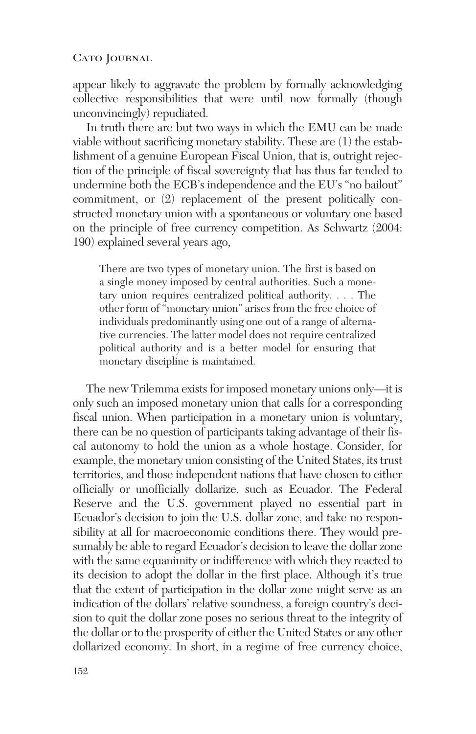appear likely to aggravate the problem by formally acknowledging collective responsibilities that were until now formally (though unconvincingly) repudiated.

In truth there are but two ways in which the EMU can be made viable without sacrificing monetary stability. These are (1) the establishment of a genuine European Fiscal Union, that is, outright rejection of the principle of fiscal sovereignty that has thus far tended to undermine both the ECB's independence and the EU's "no bailout" commitment, or (2) replacement of the present politically constructed monetary union with a spontaneous or voluntary one based on the principle of free currency competition. As Schwartz (2004: 190) explained several years ago,

There are two types of monetary union. The first is based on a single money imposed by central authorities. Such a monetary union requires centralized political authority. . . . The other form of "monetary union" arises from the free choice of individuals predominantly using one out of a range of alternative currencies. The latter model does not require centralized political authority and is a better model for ensuring that monetary discipline is maintained.

The new Trilemma exists for imposed monetary unions only—it is only such an imposed monetary union that calls for a corresponding fiscal union. When participation in a monetary union is voluntary, there can be no question of participants taking advantage of their fiscal autonomy to hold the union as a whole hostage. Consider, for example, the monetary union consisting of the United States, its trust territories, and those independent nations that have chosen to either officially or unofficially dollarize, such as Ecuador. The Federal Reserve and the U.S. government played no essential part in Ecuador's decision to join the U.S. dollar zone, and take no responsibility at all for macroeconomic conditions there. They would presumably be able to regard Ecuador's decision to leave the dollar zone with the same equanimity or indifference with which they reacted to its decision to adopt the dollar in the first place. Although it's true that the extent of participation in the dollar zone might serve as an indication of the dollars' relative soundness, a foreign country's decision to quit the dollar zone poses no serious threat to the integrity of the dollar or to the prosperity of either the United States or any other dollarized economy. In short, in a regime of free currency choice,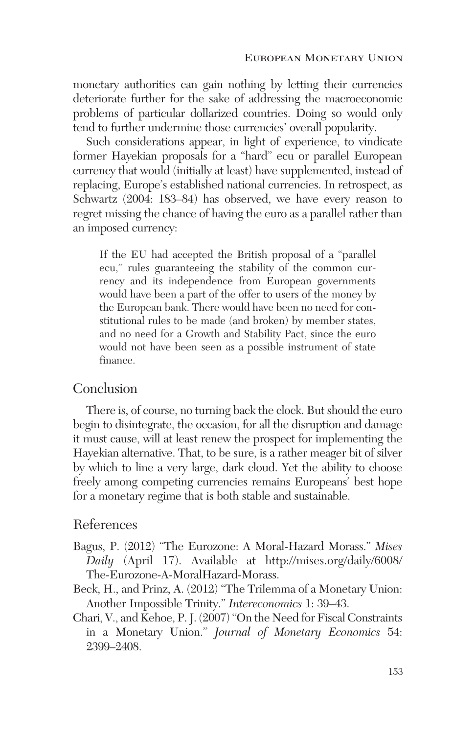monetary authorities can gain nothing by letting their currencies deteriorate further for the sake of addressing the macroeconomic problems of particular dollarized countries. Doing so would only tend to further undermine those currencies' overall popularity.

Such considerations appear, in light of experience, to vindicate former Hayekian proposals for a "hard" ecu or parallel European currency that would (initially at least) have supplemented, instead of replacing, Europe's established national currencies. In retrospect, as Schwartz (2004: 183–84) has observed, we have every reason to regret missing the chance of having the euro as a parallel rather than an imposed currency:

If the EU had accepted the British proposal of a "parallel ecu," rules guaranteeing the stability of the common currency and its independence from European governments would have been a part of the offer to users of the money by the European bank. There would have been no need for constitutional rules to be made (and broken) by member states, and no need for a Growth and Stability Pact, since the euro would not have been seen as a possible instrument of state finance.

# **Conclusion**

There is, of course, no turning back the clock. But should the euro begin to disintegrate, the occasion, for all the disruption and damage it must cause, will at least renew the prospect for implementing the Hayekian alternative. That, to be sure, is a rather meager bit of silver by which to line a very large, dark cloud. Yet the ability to choose freely among competing currencies remains Europeans' best hope for a monetary regime that is both stable and sustainable.

### References

- Bagus, P. (2012) "The Eurozone: A Moral-Hazard Morass." *Mises Daily* (April 17). Available at http://mises.org/daily/6008/ The-Eurozone-A-MoralHazard-Morass.
- Beck, H., and Prinz, A. (2012) "The Trilemma of a Monetary Union: Another Impossible Trinity." *Intereconomics* 1: 39–43.
- Chari, V., and Kehoe, P. J. (2007) "On the Need for Fiscal Constraints in a Monetary Union." *Journal of Monetary Economics* 54: 2399–2408.